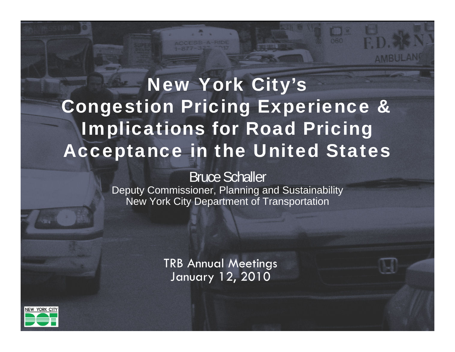## New York City's Congestion Pricing Experience & Implications for Road Pricing Acceptance in the United States

#### Bruce Schaller

Deputy Commissioner, Planning and Sustainability New York City Department of Transportation

> TRB Annual Meetings January 12, 2010



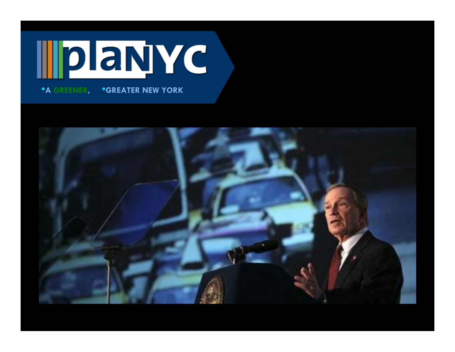# • •**A GREENER,** •**GREATER NEW YORK**

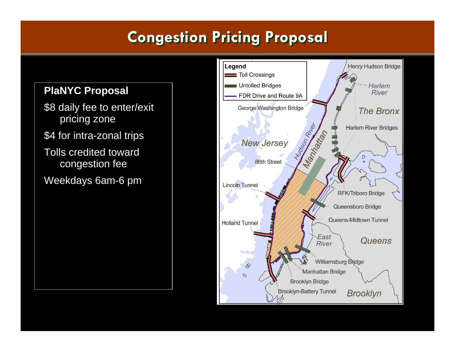## **Congestion Pricing Proposal Congestion Pricing Proposal**

#### Legend Henry Hudson Bridge Toll Crossings **Untolled Bridges** Harlem **PlaNYC Proposal** River FDR Drive and Route 9A \$8 daily fee to enter/exit George Washington Bridge **The Bronx** pricing zone Nurson River **Harlem River Bridges** Manniege River the theory \$4 for intra-zonal trips **New Jersey** Tolls credited toward  $\mathcal{D}$ 86th Street congestion fee Weekdays 6am-6 pm**Lincoln Tunnel RFK/Triboro Bridge** Queensboro Bridge Queens-Midtown Tunnel **Holland Tunnel** East Queens River Williamsburg Bridge  $\mathcal{D}$ Manhattan Bridge  $\overline{O}$ **Brooklyn Bridge Brooklyn-Battery Tunnel Brooklyn**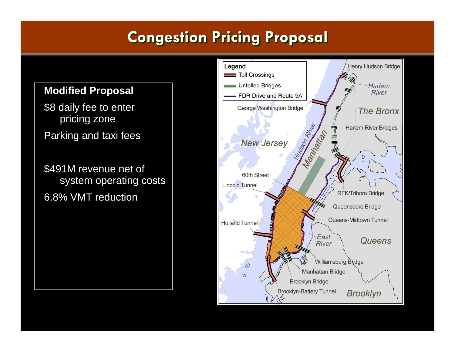## **Congestion Pricing Proposal Congestion Pricing Proposal**

#### Henry Hudson Bridge Legend Toll Crossings Untolled Bridges Harlem **Modified Proposal** River FDR Drive and Route 9A \$8 daily fee to enter George Washington Bridge **The Bronx** pricing zone Hudson River **Harlem River Bridges** Manufacture <u>THE</u> Parking and taxi fees **New Jersey**  $\mathcal{D}$ \$491M revenue net of 60th Street system operating costs **Lincoln Tunnel RFK/Triboro Bridge** 6.8% VMT reductionQueensboro Bridge Queens-Midtown Tunnel **Holland Tunnel** East Queens River Williamsburg Bridge  $\mathcal{D}$ **Manhattan Bridge**  $\overline{C}$ **Brooklyn Bridge Brooklyn-Battery Tunnel Brooklyn**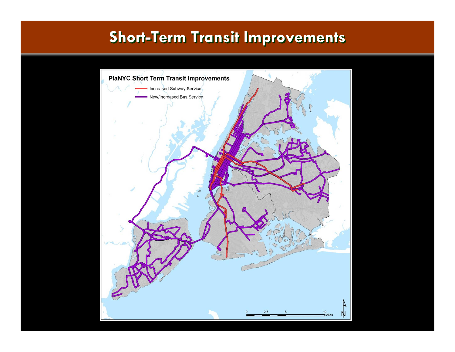### **Short-Term Transit Improvements Short-Term Transit Improvements**

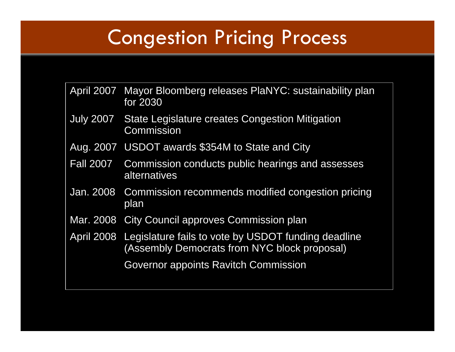## Congestion Pricing Process

| April 2007 Mayor Bloomberg releases PlaNYC: sustainability plan<br>for 2030                                    |
|----------------------------------------------------------------------------------------------------------------|
| July 2007 State Legislature creates Congestion Mitigation<br>Commission                                        |
| Aug. 2007 USDOT awards \$354M to State and City                                                                |
| Fall 2007 Commission conducts public hearings and assesses<br>alternatives                                     |
| Jan. 2008 Commission recommends modified congestion pricing<br>plan                                            |
| Mar. 2008 City Council approves Commission plan                                                                |
| April 2008 Legislature fails to vote by USDOT funding deadline<br>(Assembly Democrats from NYC block proposal) |
| Governor appoints Ravitch Commission                                                                           |
|                                                                                                                |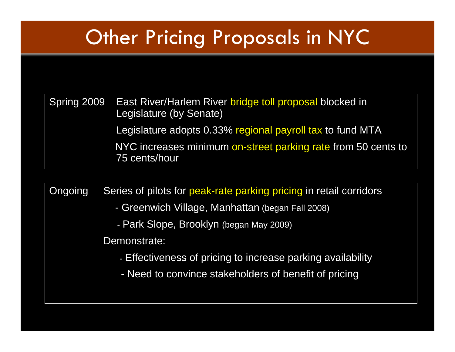## Other Pricing Proposals in NYC

Spring 2009 East River/Harlem River bridge toll proposal blocked in Legislature (by Senate) Legislature adopts 0.33% regional payroll tax to fund MTA NYC increases minimum on-street parking rate from 50 cents to 75 cents/hour

Ongoing Series of pilots for peak-rate parking pricing in retail corridors

- Greenwich Village, Manhattan (began Fall 2008)
	- Park Slope, Brooklyn (began May 2009)

Demonstrate:

- Effectiveness of pricing to increase parking availability
- Need to convince stakeholders of benefit of pricing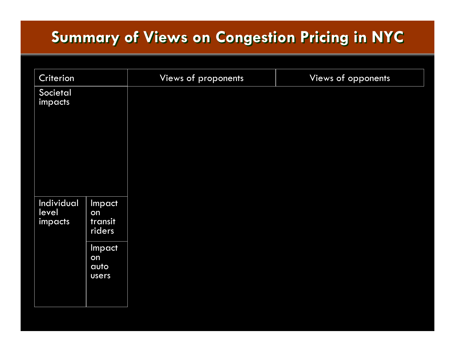## **Summary of Views on Congestion Pricing in NYC Summary of Views on Congestion Pricing in NYC**

| Criterion                      |                                                                    | Views of proponents | Views of opponents |
|--------------------------------|--------------------------------------------------------------------|---------------------|--------------------|
| Societal<br>impacts            |                                                                    |                     |                    |
| Individual<br>level<br>impacts | Impact<br>on<br>transit<br>riders<br>Impact<br>on<br>auto<br>users |                     |                    |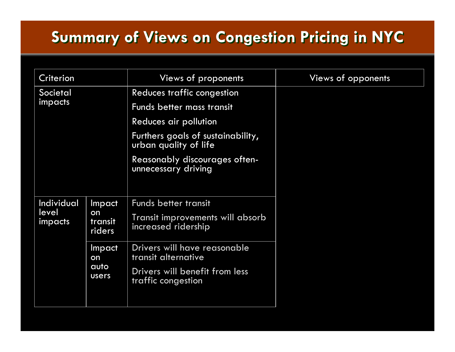## **Summary of Views on Congestion Pricing in NYC Summary of Views on Congestion Pricing in NYC**

| Criterion                      |                                          | Views of proponents                                        | Views of opponents |
|--------------------------------|------------------------------------------|------------------------------------------------------------|--------------------|
| Societal                       |                                          | Reduces traffic congestion                                 |                    |
| impacts                        |                                          | Funds better mass transit                                  |                    |
|                                |                                          | Reduces air pollution                                      |                    |
|                                |                                          | Furthers goals of sustainability,<br>urban quality of life |                    |
|                                |                                          | Reasonably discourages often-<br>unnecessary driving       |                    |
|                                |                                          |                                                            |                    |
| Individual<br>level<br>impacts | <b>Impact</b><br>on<br>transit<br>riders | <b>Funds better transit</b>                                |                    |
|                                |                                          | Transit improvements will absorb<br>increased ridership    |                    |
|                                | Impact<br>on<br>auto<br><b>users</b>     | Drivers will have reasonable<br>transit alternative        |                    |
|                                |                                          | Drivers will benefit from less<br>traffic congestion       |                    |
|                                |                                          |                                                            |                    |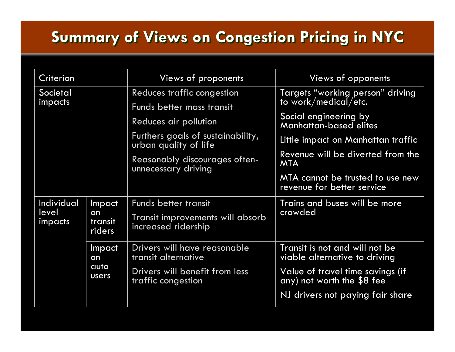## **Summary of Views on Congestion Pricing in NYC Summary of Views on Congestion Pricing in NYC**

| Criterion                      |                                      | Views of proponents                                         | Views of opponents                                              |
|--------------------------------|--------------------------------------|-------------------------------------------------------------|-----------------------------------------------------------------|
| <b>Societal</b><br>impacts     |                                      | Reduces traffic congestion                                  | Targets "working person" driving<br>to work/medical/etc.        |
|                                |                                      | Funds better mass transit                                   |                                                                 |
|                                |                                      | Reduces air pollution                                       | Social engineering by<br><b>Manhattan-based elites</b>          |
|                                |                                      | Furthers goals of sustainability,<br>urban quality of life  | Little impact on Manhattan traffic                              |
|                                |                                      | <b>Reasonably discourages often-</b><br>unnecessary driving | Revenue will be diverted from the<br><b>MTA</b>                 |
|                                |                                      |                                                             | MTA cannot be trusted to use new<br>revenue for better service  |
| Individual<br>level<br>impacts | Impact<br>on<br>transit<br>riders    | Funds better transit                                        | Trains and buses will be more                                   |
|                                |                                      | Transit improvements will absorb<br>increased ridership     | crowded                                                         |
|                                | Impact<br>on<br>auto<br><b>Users</b> | Drivers will have reasonable<br>transit alternative         | Transit is not and will not be<br>viable alternative to driving |
|                                |                                      | Drivers will benefit from less<br>traffic congestion        | Value of travel time savings (if<br>any) not worth the \$8 fee  |
|                                |                                      |                                                             | NJ drivers not paying fair share                                |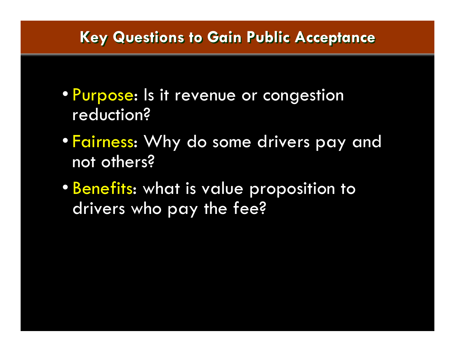### **Key Questions to Gain Public Acceptance Key Questions to Gain Public Acceptance**

- Purpose: Is it revenue or congestion reduction?
- Fairness: Why do some drivers pay and not others?
- Benefits: what is value proposition to drivers who pay the fee?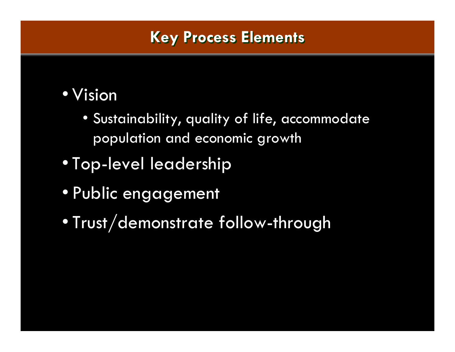## • Vision

- Sustainability, quality of life, accommodate population and economic growth
- Top-level leadership
- Public engagement
- $\bullet$ Trust/demonstrate follow-through